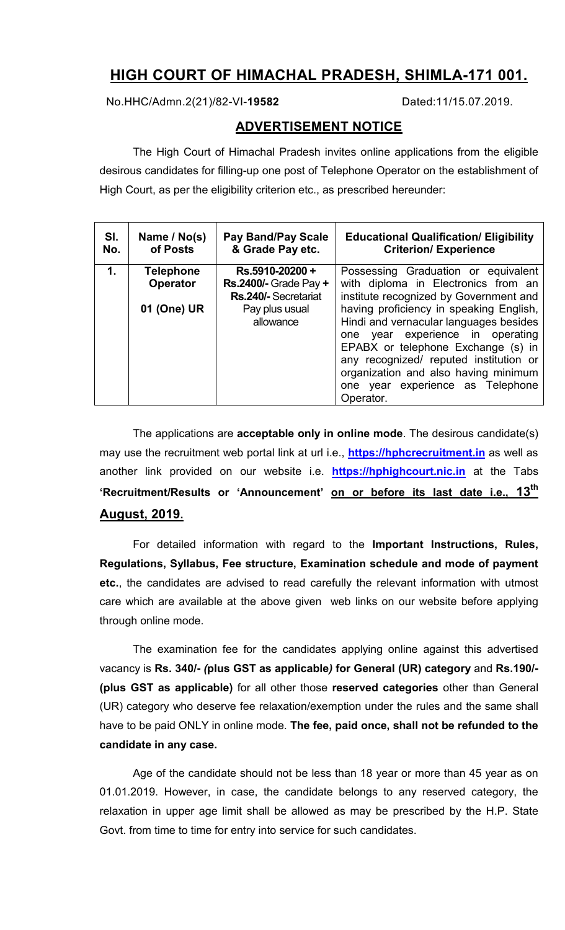# **HIGH COURT OF HIMACHAL PRADESH, SHIMLA-171 001.**

No.HHC/Admn.2(21)/82-VI-**19582** Dated:11/15.07.2019.

## **ADVERTISEMENT NOTICE**

The High Court of Himachal Pradesh invites online applications from the eligible desirous candidates for filling-up one post of Telephone Operator on the establishment of High Court, as per the eligibility criterion etc., as prescribed hereunder:

| SI.<br>No. | Name / No(s)<br>of Posts     | <b>Pay Band/Pay Scale</b><br>& Grade Pay etc.                          | <b>Educational Qualification/ Eligibility</b><br><b>Criterion/ Experience</b>                                                                                                                                                                                                                  |
|------------|------------------------------|------------------------------------------------------------------------|------------------------------------------------------------------------------------------------------------------------------------------------------------------------------------------------------------------------------------------------------------------------------------------------|
| 1.         | <b>Telephone</b><br>Operator | Rs.5910-20200+<br><b>Rs.2400/- Grade Pay +</b><br>Rs.240/- Secretariat | Possessing Graduation or equivalent<br>with diploma in Electronics from an<br>institute recognized by Government and                                                                                                                                                                           |
|            | 01 (One) UR                  | Pay plus usual<br>allowance                                            | having proficiency in speaking English,<br>Hindi and vernacular languages besides<br>one year experience in operating<br>EPABX or telephone Exchange (s) in<br>any recognized/ reputed institution or<br>organization and also having minimum<br>one year experience as Telephone<br>Operator. |

The applications are **acceptable only in online mode**. The desirous candidate(s) may use the recruitment web portal link at url i.e., **https://hphcrecruitment.in** as well as another link provided on our website i.e. **https://hphighcourt.nic.in** at the Tabs **'Recruitment/Results or 'Announcement' on or before its last date i.e., 13th August, 2019.**

For detailed information with regard to the **Important Instructions, Rules, Regulations, Syllabus, Fee structure, Examination schedule and mode of payment etc.**, the candidates are advised to read carefully the relevant information with utmost care which are available at the above given web links on our website before applying through online mode.

The examination fee for the candidates applying online against this advertised vacancy is **Rs. 340/-** *(***plus GST as applicable***)* **for General (UR) category** and **Rs.190/- (plus GST as applicable)** for all other those **reserved categories** other than General (UR) category who deserve fee relaxation/exemption under the rules and the same shall have to be paid ONLY in online mode. **The fee, paid once, shall not be refunded to the candidate in any case.**

Age of the candidate should not be less than 18 year or more than 45 year as on 01.01.2019. However, in case, the candidate belongs to any reserved category, the relaxation in upper age limit shall be allowed as may be prescribed by the H.P. State Govt. from time to time for entry into service for such candidates.